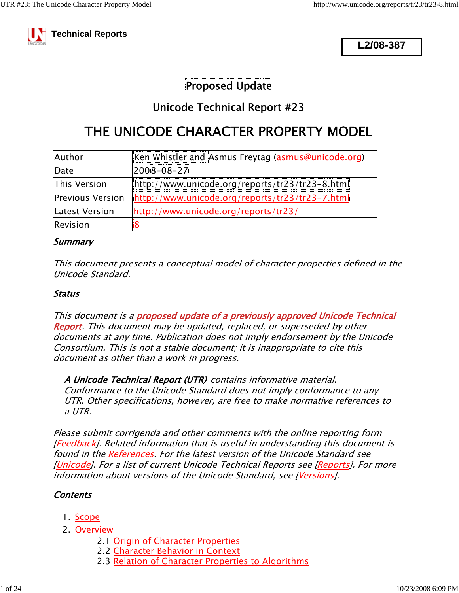

**L2/08-387**

## Proposed Update

## Unicode Technical Report #23

# THE UNICODE CHARACTER PROPERTY MODEL

| Author           | Ken Whistler and Asmus Freytag (asmus@unicode.org)  |
|------------------|-----------------------------------------------------|
| Date             | $2008 - 08 - 27$                                    |
| This Version     | $[http://www.unicode.org/reports/tr23/tr23-8.html]$ |
| Previous Version | $[http://www.unicode.org/reports/tr23/tr23-7.html]$ |
| Latest Version   | http://www.unicode.org/reports/tr23/                |
| Revision         |                                                     |

#### **Summary**

This document presents a conceptual model of character properties defined in the Unicode Standard.

#### Status

This document is a proposed update of a previously approved Unicode Technical Report. This document may be updated, replaced, or superseded by other documents at any time. Publication does not imply endorsement by the Unicode Consortium. This is not a stable document; it is inappropriate to cite this document as other than a work in progress.

A Unicode Technical Report (UTR) contains informative material. Conformance to the Unicode Standard does not imply conformance to any UTR. Other specifications, however, are free to make normative references to a UTR.

Please submit corrigenda and other comments with the online reporting form [Feedback]. Related information that is useful in understanding this document is found in the References. For the latest version of the Unicode Standard see [Unicode]. For a list of current Unicode Technical Reports see [Reports]. For more information about versions of the Unicode Standard, see [Versions].

### **Contents**

- 1. Scope
- 2. <u>Overview</u>
	- 2.1 Origin of Character Properties
	- 2.2 Character Behavior in Context
	- 2.3 Relation of Character Properties to Algorithms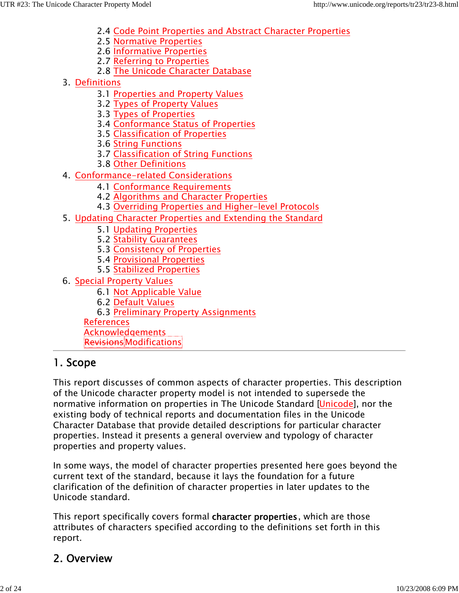- 2.4 Code Point Properties and Abstract Character Properties
- 2.5 Normative Properties
- 2.6 Informative Properties
- 2.7 Referring to Properties
- 2.8 The Unicode Character Database
- 3. <u>Definitions</u>
	- 3.1 Properties and Property Values
	- 3.2 Types of Property Values
	- 3.3 Types of Properties
	- 3.4 Conformance Status of Properties
	- 3.5 Classification of Properties
	- 3.6 String Functions
	- 3.7 Classification of String Functions
	- 3.8 Other Definitions
- 4. <u>Conformance–related Considerations</u>
	- 4.1 Conformance Requirements
	- 4.2 Algorithms and Character Properties
	- 4.3 Overriding Properties and Higher-level Protocols
- Updating Character Properties and Extending the Standard 5.
	- 5.1 Updating Properties
	- 5.2 Stability Guarantees
	- 5.3 Consistency of Properties
	- 5.4 Provisional Properties
	- 5.5 Stabilized Properties
- 6. <u>Special Property Values</u>
	- 6.1 Not Applicable Value
	- 6.2 Default Values
	- 6.3 Preliminary Property Assignments

References

Acknowledgements

**Revisions**Modifications

# 1. Scope

This report discusses of common aspects of character properties. This description of the Unicode character property model is not intended to supersede the normative information on properties in The Unicode Standard [Unicode], nor the existing body of technical reports and documentation files in the Unicode Character Database that provide detailed descriptions for particular character properties. Instead it presents a general overview and typology of character properties and property values.

In some ways, the model of character properties presented here goes beyond the current text of the standard, because it lays the foundation for a future clarification of the definition of character properties in later updates to the Unicode standard.

This report specifically covers formal character properties, which are those attributes of characters specified according to the definitions set forth in this report.

# 2. Overview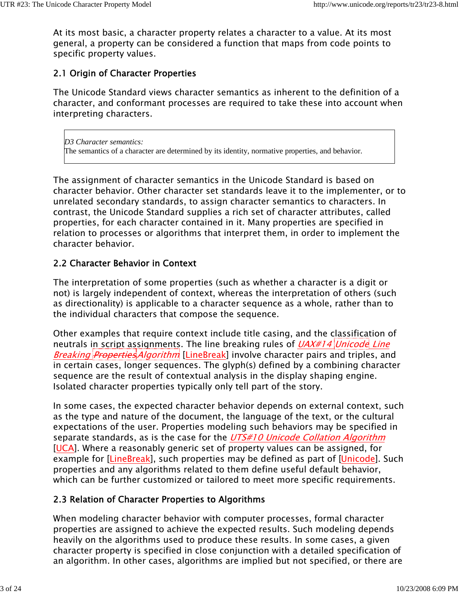At its most basic, a character property relates a character to a value. At its most general, a property can be considered a function that maps from code points to specific property values.

## 2.1 Origin of Character Properties

The Unicode Standard views character semantics as inherent to the definition of a character, and conformant processes are required to take these into account when interpreting characters.

*D3 Character semantics:* The semantics of a character are determined by its identity, normative properties, and behavior.

The assignment of character semantics in the Unicode Standard is based on character behavior. Other character set standards leave it to the implementer, or to unrelated secondary standards, to assign character semantics to characters. In contrast, the Unicode Standard supplies a rich set of character attributes, called properties, for each character contained in it. Many properties are specified in relation to processes or algorithms that interpret them, in order to implement the character behavior.

## 2.2 Character Behavior in Context

The interpretation of some properties (such as whether a character is a digit or not) is largely independent of context, whereas the interpretation of others (such as directionality) is applicable to a character sequence as a whole, rather than to the individual characters that compose the sequence.

Other examples that require context include title casing, and the classification of neutrals in script assignments. The line breaking rules of *UAX#14 Unicode Line* Breaking *Properties Algorithm* [LineBreak] involve character pairs and triples, and in certain cases, longer sequences. The glyph(s) defined by a combining character sequence are the result of contextual analysis in the display shaping engine. Isolated character properties typically only tell part of the story.

In some cases, the expected character behavior depends on external context, such as the type and nature of the document, the language of the text, or the cultural expectations of the user. Properties modeling such behaviors may be specified in separate standards, as is the case for the UTS#10 Unicode Collation Algorithm [UCA]. Where a reasonably generic set of property values can be assigned, for example for [LineBreak], such properties may be defined as part of [Unicode]. Such properties and any algorithms related to them define useful default behavior, which can be further customized or tailored to meet more specific requirements.

## 2.3 Relation of Character Properties to Algorithms

When modeling character behavior with computer processes, formal character properties are assigned to achieve the expected results. Such modeling depends heavily on the algorithms used to produce these results. In some cases, a given character property is specified in close conjunction with a detailed specification of an algorithm. In other cases, algorithms are implied but not specified, or there are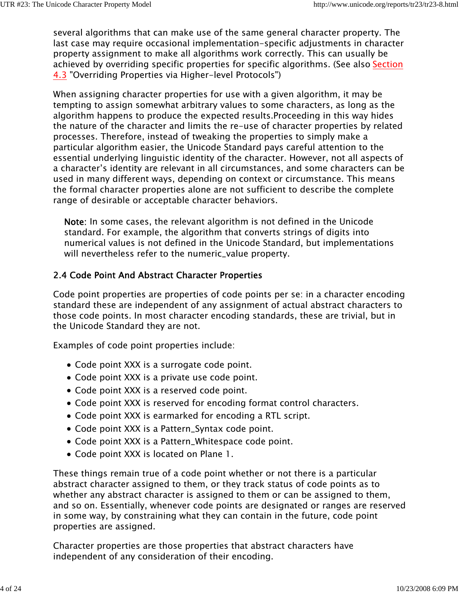several algorithms that can make use of the same general character property. The last case may require occasional implementation-specific adjustments in character property assignment to make all algorithms work correctly. This can usually be achieved by overriding specific properties for specific algorithms. (See also Section 4.3 "Overriding Properties via Higher-level Protocols")

When assigning character properties for use with a given algorithm, it may be tempting to assign somewhat arbitrary values to some characters, as long as the algorithm happens to produce the expected results.Proceeding in this way hides the nature of the character and limits the re-use of character properties by related processes. Therefore, instead of tweaking the properties to simply make a particular algorithm easier, the Unicode Standard pays careful attention to the essential underlying linguistic identity of the character. However, not all aspects of a character's identity are relevant in all circumstances, and some characters can be used in many different ways, depending on context or circumstance. This means the formal character properties alone are not sufficient to describe the complete range of desirable or acceptable character behaviors.

Note: In some cases, the relevant algorithm is not defined in the Unicode standard. For example, the algorithm that converts strings of digits into numerical values is not defined in the Unicode Standard, but implementations will nevertheless refer to the numeric\_value property.

## 2.4 Code Point And Abstract Character Properties

Code point properties are properties of code points per se: in a character encoding standard these are independent of any assignment of actual abstract characters to those code points. In most character encoding standards, these are trivial, but in the Unicode Standard they are not.

Examples of code point properties include:

- Code point XXX is a surrogate code point.
- Code point XXX is a private use code point.
- Code point XXX is a reserved code point.
- Code point XXX is reserved for encoding format control characters.
- Code point XXX is earmarked for encoding a RTL script.
- Code point XXX is a Pattern\_Syntax code point.
- Code point XXX is a Pattern\_Whitespace code point.
- Code point XXX is located on Plane 1.

These things remain true of a code point whether or not there is a particular abstract character assigned to them, or they track status of code points as to whether any abstract character is assigned to them or can be assigned to them, and so on. Essentially, whenever code points are designated or ranges are reserved in some way, by constraining what they can contain in the future, code point properties are assigned.

Character properties are those properties that abstract characters have independent of any consideration of their encoding.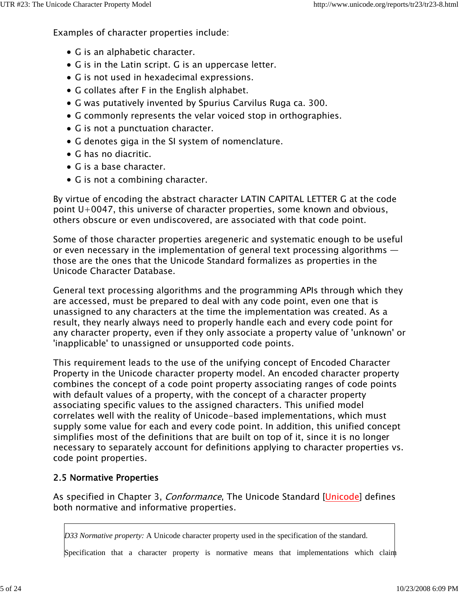Examples of character properties include:

- G is an alphabetic character.
- G is in the Latin script. G is an uppercase letter.
- G is not used in hexadecimal expressions.
- G collates after F in the English alphabet.
- G was putatively invented by Spurius Carvilus Ruga ca. 300.
- G commonly represents the velar voiced stop in orthographies.
- G is not a punctuation character.
- G denotes giga in the SI system of nomenclature.
- G has no diacritic.
- G is a base character.
- G is not a combining character.

By virtue of encoding the abstract character LATIN CAPITAL LETTER G at the code point U+0047, this universe of character properties, some known and obvious, others obscure or even undiscovered, are associated with that code point.

Some of those character properties aregeneric and systematic enough to be useful or even necessary in the implementation of general text processing algorithms those are the ones that the Unicode Standard formalizes as properties in the Unicode Character Database.

General text processing algorithms and the programming APIs through which they are accessed, must be prepared to deal with any code point, even one that is unassigned to any characters at the time the implementation was created. As a result, they nearly always need to properly handle each and every code point for any character property, even if they only associate a property value of 'unknown' or 'inapplicable' to unassigned or unsupported code points.

This requirement leads to the use of the unifying concept of Encoded Character Property in the Unicode character property model. An encoded character property combines the concept of a code point property associating ranges of code points with default values of a property, with the concept of a character property associating specific values to the assigned characters. This unified model correlates well with the reality of Unicode-based implementations, which must supply some value for each and every code point. In addition, this unified concept simplifies most of the definitions that are built on top of it, since it is no longer necessary to separately account for definitions applying to character properties vs. code point properties.

### 2.5 Normative Properties

As specified in Chapter 3, *Conformance*, The Unicode Standard [Unicode] defines both normative and informative properties.

*D33 Normative property:* A Unicode character property used in the specification of the standard.

Specification that a character property is normative means that implementations which claim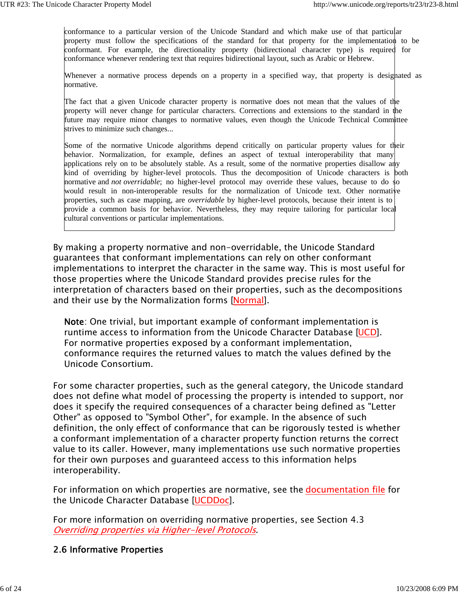conformance to a particular version of the Unicode Standard and which make use of that particular property must follow the specifications of the standard for that property for the implementation to be conformant. For example, the directionality property (bidirectional character type) is required for conformance whenever rendering text that requires bidirectional layout, such as Arabic or Hebrew.

Whenever a normative process depends on a property in a specified way, that property is designated as normative.

The fact that a given Unicode character property is normative does not mean that the values of the property will never change for particular characters. Corrections and extensions to the standard in the future may require minor changes to normative values, even though the Unicode Technical Committee strives to minimize such changes...

Some of the normative Unicode algorithms depend critically on particular property values for their behavior. Normalization, for example, defines an aspect of textual interoperability that many applications rely on to be absolutely stable. As a result, some of the normative properties disallow any kind of overriding by higher-level protocols. Thus the decomposition of Unicode characters is both normative and *not overridable*; no higher-level protocol may override these values, because to do so would result in non-interoperable results for the normalization of Unicode text. Other normative properties, such as case mapping, are *overridable* by higher-level protocols, because their intent is to provide a common basis for behavior. Nevertheless, they may require tailoring for particular local cultural conventions or particular implementations.

By making a property normative and non-overridable, the Unicode Standard guarantees that conformant implementations can rely on other conformant implementations to interpret the character in the same way. This is most useful for those properties where the Unicode Standard provides precise rules for the interpretation of characters based on their properties, such as the decompositions and their use by the Normalization forms [Normal].

Note: One trivial, but important example of conformant implementation is runtime access to information from the Unicode Character Database [UCD]. For normative properties exposed by a conformant implementation, conformance requires the returned values to match the values defined by the Unicode Consortium.

For some character properties, such as the general category, the Unicode standard does not define what model of processing the property is intended to support, nor does it specify the required consequences of a character being defined as "Letter Other" as opposed to "Symbol Other", for example. In the absence of such definition, the only effect of conformance that can be rigorously tested is whether a conformant implementation of a character property function returns the correct value to its caller. However, many implementations use such normative properties for their own purposes and guaranteed access to this information helps interoperability.

For information on which properties are normative, see the documentation file for the Unicode Character Database [UCDDoc].

For more information on overriding normative properties, see Section 4.3 Overriding properties via Higher-level Protocols.

### 2.6 Informative Properties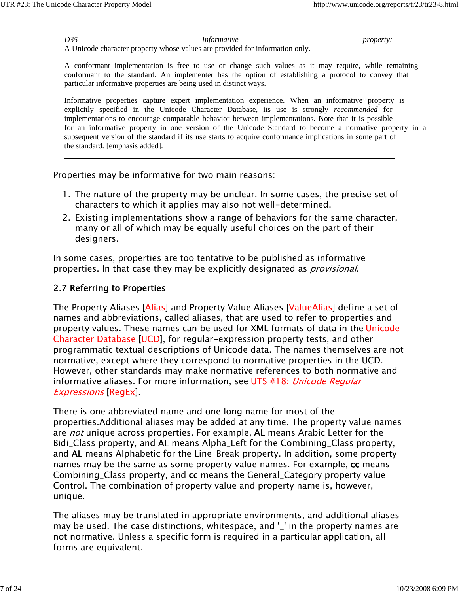*D35 Informative property:*

A Unicode character property whose values are provided for information only.

A conformant implementation is free to use or change such values as it may require, while remaining conformant to the standard. An implementer has the option of establishing a protocol to convey that particular informative properties are being used in distinct ways.

Informative properties capture expert implementation experience. When an informative property is explicitly specified in the Unicode Character Database, its use is strongly *recommended* for implementations to encourage comparable behavior between implementations. Note that it is possible for an informative property in one version of the Unicode Standard to become a normative property in a subsequent version of the standard if its use starts to acquire conformance implications in some part of the standard. [emphasis added].

Properties may be informative for two main reasons:

- 1. The nature of the property may be unclear. In some cases, the precise set of characters to which it applies may also not well-determined.
- Existing implementations show a range of behaviors for the same character, 2. many or all of which may be equally useful choices on the part of their designers.

In some cases, properties are too tentative to be published as informative properties. In that case they may be explicitly designated as *provisional*.

## 2.7 Referring to Properties

The Property Aliases [Alias] and Property Value Aliases [ValueAlias] define a set of names and abbreviations, called aliases, that are used to refer to properties and property values. These names can be used for XML formats of data in the Unicode Character Database [UCD], for regular-expression property tests, and other programmatic textual descriptions of Unicode data. The names themselves are not normative, except where they correspond to normative properties in the UCD. However, other standards may make normative references to both normative and informative aliases. For more information, see UTS #18: Unicode Regular Expressions [RegEx].

There is one abbreviated name and one long name for most of the properties.Additional aliases may be added at any time. The property value names are *not* unique across properties. For example, **AL** means Arabic Letter for the Bidi\_Class property, and AL means Alpha\_Left for the Combining\_Class property, and AL means Alphabetic for the Line\_Break property. In addition, some property names may be the same as some property value names. For example, cc means Combining\_Class property, and cc means the General\_Category property value Control. The combination of property value and property name is, however, unique.

The aliases may be translated in appropriate environments, and additional aliases may be used. The case distinctions, whitespace, and '\_' in the property names are not normative. Unless a specific form is required in a particular application, all forms are equivalent.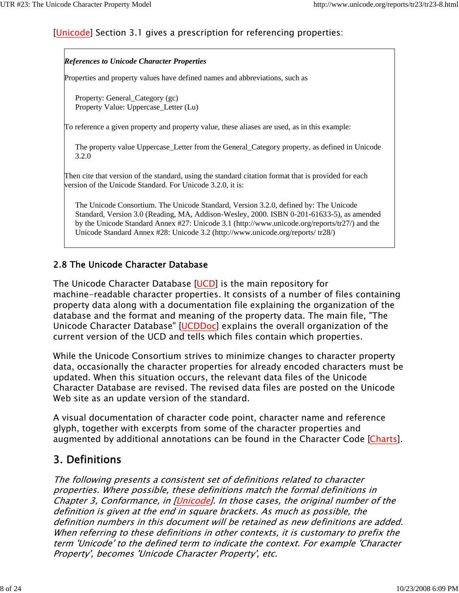## [Unicode] Section 3.1 gives a prescription for referencing properties:

#### *References to Unicode Character Properties*

Properties and property values have defined names and abbreviations, such as

Property: General\_Category (gc) Property Value: Uppercase\_Letter (Lu)

To reference a given property and property value, these aliases are used, as in this example:

The property value Uppercase\_Letter from the General\_Category property, as defined in Unicode 3.2.0

Then cite that version of the standard, using the standard citation format that is provided for each version of the Unicode Standard. For Unicode 3.2.0, it is:

The Unicode Consortium. The Unicode Standard, Version 3.2.0, defined by: The Unicode Standard, Version 3.0 (Reading, MA, Addison-Wesley, 2000. ISBN 0-201-61633-5), as amended by the Unicode Standard Annex #27: Unicode 3.1 (http://www.unicode.org/reports/tr27/) and the Unicode Standard Annex #28: Unicode 3.2 (http://www.unicode.org/reports/ tr28/)

### 2.8 The Unicode Character Database

The Unicode Character Database [UCD] is the main repository for machine-readable character properties. It consists of a number of files containing property data along with a documentation file explaining the organization of the database and the format and meaning of the property data. The main file, "The Unicode Character Database" [UCDDoc] explains the overall organization of the current version of the UCD and tells which files contain which properties.

While the Unicode Consortium strives to minimize changes to character property data, occasionally the character properties for already encoded characters must be updated. When this situation occurs, the relevant data files of the Unicode Character Database are revised. The revised data files are posted on the Unicode Web site as an update version of the standard.

A visual documentation of character code point, character name and reference glyph, together with excerpts from some of the character properties and augmented by additional annotations can be found in the Character Code [Charts].

## 3. Definitions

The following presents a consistent set of definitions related to character properties. Where possible, these definitions match the formal definitions in Chapter 3, Conformance, in [Unicode]. In those cases, the original number of the definition is given at the end in square brackets. As much as possible, the definition numbers in this document will be retained as new definitions are added. When referring to these definitions in other contexts, it is customary to prefix the term 'Unicode' to the defined term to indicate the context. For example 'Character Property', becomes 'Unicode Character Property', etc.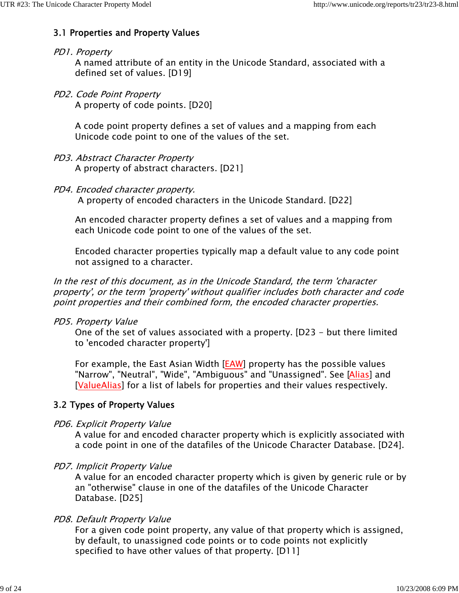## 3.1 Properties and Property Values

### PD1. Property

A named attribute of an entity in the Unicode Standard, associated with a defined set of values. [D19]

### PD2. Code Point Property

A property of code points. [D20]

A code point property defines a set of values and a mapping from each Unicode code point to one of the values of the set.

- PD3. Abstract Character Property A property of abstract characters. [D21]
- PD4. Encoded character property.

A property of encoded characters in the Unicode Standard. [D22]

An encoded character property defines a set of values and a mapping from each Unicode code point to one of the values of the set.

Encoded character properties typically map a default value to any code point not assigned to a character.

In the rest of this document, as in the Unicode Standard, the term 'character property', or the term 'property' without qualifier includes both character and code point properties and their combined form, the encoded character properties.

### PD5. Property Value

One of the set of values associated with a property. [D23 - but there limited to 'encoded character property']

For example, the East Asian Width [EAW] property has the possible values "Narrow", "Neutral", "Wide", "Ambiguous" and "Unassigned". See [Alias] and [ValueAlias] for a list of labels for properties and their values respectively.

## 3.2 Types of Property Values

PD6. Explicit Property Value

A value for and encoded character property which is explicitly associated with a code point in one of the datafiles of the Unicode Character Database. [D24].

### PD7. Implicit Property Value

A value for an encoded character property which is given by generic rule or by an "otherwise" clause in one of the datafiles of the Unicode Character Database. [D25]

### PD8. Default Property Value

For a given code point property, any value of that property which is assigned, by default, to unassigned code points or to code points not explicitly specified to have other values of that property. [D11]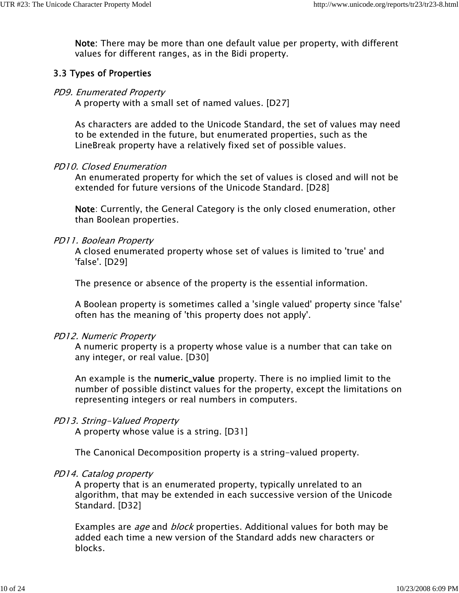Note: There may be more than one default value per property, with different values for different ranges, as in the Bidi property.

#### 3.3 Types of Properties

#### PD9. Enumerated Property

A property with a small set of named values. [D27]

As characters are added to the Unicode Standard, the set of values may need to be extended in the future, but enumerated properties, such as the LineBreak property have a relatively fixed set of possible values.

#### PD10. Closed Enumeration

An enumerated property for which the set of values is closed and will not be extended for future versions of the Unicode Standard. [D28]

Note: Currently, the General Category is the only closed enumeration, other than Boolean properties.

#### PD11. Boolean Property

A closed enumerated property whose set of values is limited to 'true' and 'false'. [D29]

The presence or absence of the property is the essential information.

A Boolean property is sometimes called a 'single valued' property since 'false' often has the meaning of 'this property does not apply'.

#### PD12. Numeric Property

A numeric property is a property whose value is a number that can take on any integer, or real value. [D30]

An example is the **numeric\_value** property. There is no implied limit to the number of possible distinct values for the property, except the limitations on representing integers or real numbers in computers.

#### PD13. String-Valued Property

A property whose value is a string. [D31]

The Canonical Decomposition property is a string-valued property.

#### PD14. Catalog property

A property that is an enumerated property, typically unrelated to an algorithm, that may be extended in each successive version of the Unicode Standard. [D32]

Examples are *age* and *block* properties. Additional values for both may be added each time a new version of the Standard adds new characters or blocks.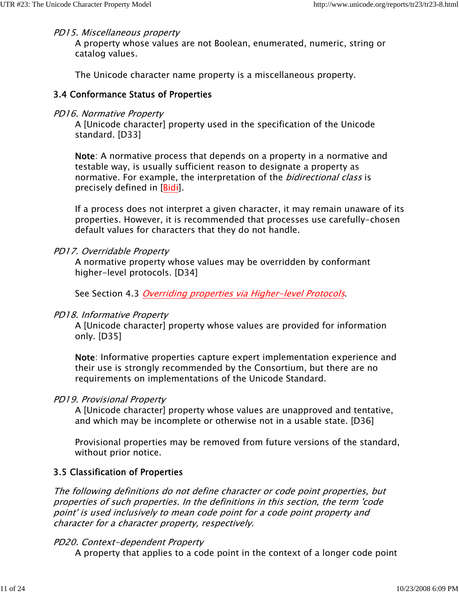#### PD15. Miscellaneous property

A property whose values are not Boolean, enumerated, numeric, string or catalog values.

The Unicode character name property is a miscellaneous property.

#### 3.4 Conformance Status of Properties

#### PD16. Normative Property

A [Unicode character] property used in the specification of the Unicode standard. [D33]

Note: A normative process that depends on a property in a normative and testable way, is usually sufficient reason to designate a property as normative. For example, the interpretation of the *bidirectional class* is precisely defined in [Bidi].

If a process does not interpret a given character, it may remain unaware of its properties. However, it is recommended that processes use carefully-chosen default values for characters that they do not handle.

#### PD17. Overridable Property

A normative property whose values may be overridden by conformant higher-level protocols. [D34]

See Section 4.3 *Overriding properties via Higher-level Protocols*.

#### PD18. Informative Property

A [Unicode character] property whose values are provided for information only. [D35]

Note: Informative properties capture expert implementation experience and their use is strongly recommended by the Consortium, but there are no requirements on implementations of the Unicode Standard.

#### PD19. Provisional Property

A [Unicode character] property whose values are unapproved and tentative, and which may be incomplete or otherwise not in a usable state. [D36]

Provisional properties may be removed from future versions of the standard, without prior notice.

#### 3.5 Classification of Properties

The following definitions do not define character or code point properties, but properties of such properties. In the definitions in this section, the term 'code point' is used inclusively to mean code point for a code point property and character for a character property, respectively.

#### PD20. Context-dependent Property

A property that applies to a code point in the context of a longer code point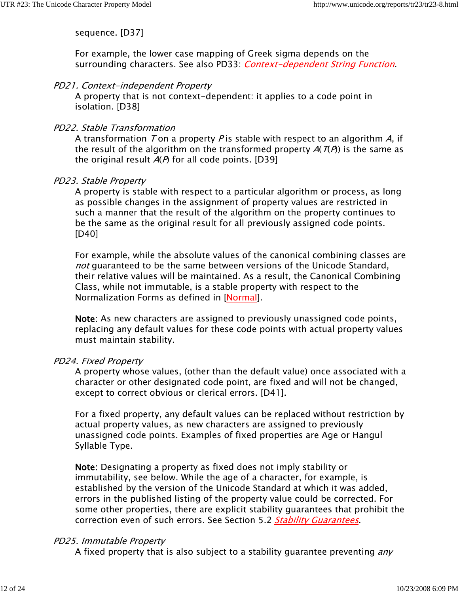sequence. [D37]

For example, the lower case mapping of Greek sigma depends on the surrounding characters. See also PD33: Context-dependent String Function.

#### PD21. Context-independent Property

A property that is not context-dependent: it applies to a code point in isolation. [D38]

#### PD22. Stable Transformation

A transformation T on a property P is stable with respect to an algorithm A, if the result of the algorithm on the transformed property  $A(T(P))$  is the same as the original result  $A(P)$  for all code points. [D39]

#### PD23. Stable Property

A property is stable with respect to a particular algorithm or process, as long as possible changes in the assignment of property values are restricted in such a manner that the result of the algorithm on the property continues to be the same as the original result for all previously assigned code points. [D40]

For example, while the absolute values of the canonical combining classes are not guaranteed to be the same between versions of the Unicode Standard, their relative values will be maintained. As a result, the Canonical Combining Class, while not immutable, is a stable property with respect to the Normalization Forms as defined in [Normal].

Note: As new characters are assigned to previously unassigned code points, replacing any default values for these code points with actual property values must maintain stability.

#### PD24. Fixed Property

A property whose values, (other than the default value) once associated with a character or other designated code point, are fixed and will not be changed, except to correct obvious or clerical errors. [D41].

For a fixed property, any default values can be replaced without restriction by actual property values, as new characters are assigned to previously unassigned code points. Examples of fixed properties are Age or Hangul Syllable Type.

Note: Designating a property as fixed does not imply stability or immutability, see below. While the age of a character, for example, is established by the version of the Unicode Standard at which it was added, errors in the published listing of the property value could be corrected. For some other properties, there are explicit stability guarantees that prohibit the correction even of such errors. See Section 5.2 Stability Guarantees.

#### PD25. Immutable Property

A fixed property that is also subject to a stability guarantee preventing *any*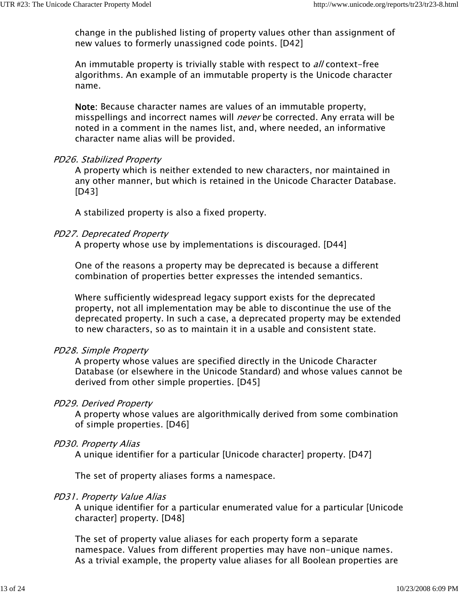change in the published listing of property values other than assignment of new values to formerly unassigned code points. [D42]

An immutable property is trivially stable with respect to *all* context-free algorithms. An example of an immutable property is the Unicode character name.

Note: Because character names are values of an immutable property, misspellings and incorrect names will *never* be corrected. Any errata will be noted in a comment in the names list, and, where needed, an informative character name alias will be provided.

#### PD26. Stabilized Property

A property which is neither extended to new characters, nor maintained in any other manner, but which is retained in the Unicode Character Database. [D43]

A stabilized property is also a fixed property.

#### PD27. Deprecated Property

A property whose use by implementations is discouraged. [D44]

One of the reasons a property may be deprecated is because a different combination of properties better expresses the intended semantics.

Where sufficiently widespread legacy support exists for the deprecated property, not all implementation may be able to discontinue the use of the deprecated property. In such a case, a deprecated property may be extended to new characters, so as to maintain it in a usable and consistent state.

#### PD28. Simple Property

A property whose values are specified directly in the Unicode Character Database (or elsewhere in the Unicode Standard) and whose values cannot be derived from other simple properties. [D45]

#### PD29. Derived Property

A property whose values are algorithmically derived from some combination of simple properties. [D46]

#### PD30. Property Alias

A unique identifier for a particular [Unicode character] property. [D47]

The set of property aliases forms a namespace.

#### PD31. Property Value Alias

A unique identifier for a particular enumerated value for a particular [Unicode character] property. [D48]

The set of property value aliases for each property form a separate namespace. Values from different properties may have non-unique names. As a trivial example, the property value aliases for all Boolean properties are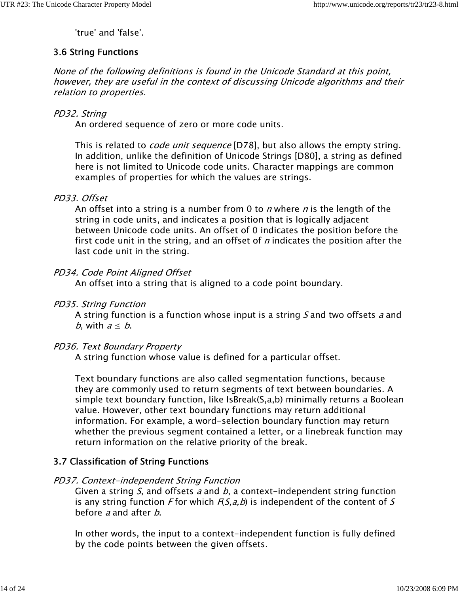'true' and 'false'.

## 3.6 String Functions

None of the following definitions is found in the Unicode Standard at this point, however, they are useful in the context of discussing Unicode algorithms and their relation to properties.

#### PD32. String

An ordered sequence of zero or more code units.

This is related to *code unit sequence* [D78], but also allows the empty string. In addition, unlike the definition of Unicode Strings [D80], a string as defined here is not limited to Unicode code units. Character mappings are common examples of properties for which the values are strings.

#### PD33. Offset

An offset into a string is a number from 0 to  $n$  where  $n$  is the length of the string in code units, and indicates a position that is logically adjacent between Unicode code units. An offset of 0 indicates the position before the first code unit in the string, and an offset of  $n$  indicates the position after the last code unit in the string.

#### PD34. Code Point Aligned Offset

An offset into a string that is aligned to a code point boundary.

#### PD35. String Function

A string function is a function whose input is a string  $S$  and two offsets  $a$  and *b*, with  $a \leq b$ .

#### PD36. Text Boundary Property

A string function whose value is defined for a particular offset.

Text boundary functions are also called segmentation functions, because they are commonly used to return segments of text between boundaries. A simple text boundary function, like IsBreak(S,a,b) minimally returns a Boolean value. However, other text boundary functions may return additional information. For example, a word-selection boundary function may return whether the previous segment contained a letter, or a linebreak function may return information on the relative priority of the break.

### 3.7 Classification of String Functions

#### PD37. Context-independent String Function

Given a string S, and offsets a and b, a context-independent string function is any string function F for which  $F(S,a,b)$  is independent of the content of S before a and after  $b$ .

In other words, the input to a context-independent function is fully defined by the code points between the given offsets.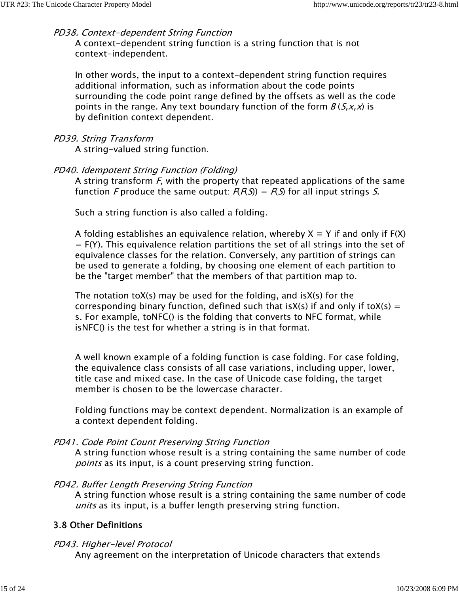#### PD38. Context-dependent String Function

A context-dependent string function is a string function that is not context-independent.

In other words, the input to a context-dependent string function requires additional information, such as information about the code points surrounding the code point range defined by the offsets as well as the code points in the range. Any text boundary function of the form  $B(S, x, x)$  is by definition context dependent.

#### PD39. String Transform

A string-valued string function.

#### PD40. Idempotent String Function (Folding)

A string transform  $F$ , with the property that repeated applications of the same function F produce the same output:  $F(F(S)) = F(S)$  for all input strings S.

Such a string function is also called a folding.

A folding establishes an equivalence relation, whereby  $X \equiv Y$  if and only if  $F(X)$  $=$  F(Y). This equivalence relation partitions the set of all strings into the set of equivalence classes for the relation. Conversely, any partition of strings can be used to generate a folding, by choosing one element of each partition to be the "target member" that the members of that partition map to.

The notation toX(s) may be used for the folding, and isX(s) for the corresponding binary function, defined such that isX(s) if and only if toX(s) = s. For example, toNFC() is the folding that converts to NFC format, while isNFC() is the test for whether a string is in that format.

A well known example of a folding function is case folding. For case folding, the equivalence class consists of all case variations, including upper, lower, title case and mixed case. In the case of Unicode case folding, the target member is chosen to be the lowercase character.

Folding functions may be context dependent. Normalization is an example of a context dependent folding.

#### PD41. Code Point Count Preserving String Function

A string function whose result is a string containing the same number of code points as its input, is a count preserving string function.

#### PD42. Buffer Length Preserving String Function

A string function whose result is a string containing the same number of code units as its input, is a buffer length preserving string function.

### 3.8 Other Definitions

#### PD43. Higher-level Protocol

Any agreement on the interpretation of Unicode characters that extends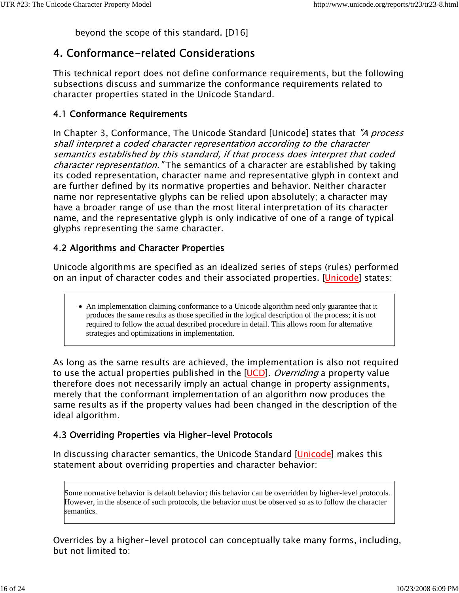beyond the scope of this standard. [D16]

# 4. Conformance-related Considerations

This technical report does not define conformance requirements, but the following subsections discuss and summarize the conformance requirements related to character properties stated in the Unicode Standard.

## 4.1 Conformance Requirements

In Chapter 3, Conformance, The Unicode Standard [Unicode] states that "A process shall interpret a coded character representation according to the character semantics established by this standard, if that process does interpret that coded character representation. "The semantics of a character are established by taking its coded representation, character name and representative glyph in context and are further defined by its normative properties and behavior. Neither character name nor representative glyphs can be relied upon absolutely; a character may have a broader range of use than the most literal interpretation of its character name, and the representative glyph is only indicative of one of a range of typical glyphs representing the same character.

## 4.2 Algorithms and Character Properties

Unicode algorithms are specified as an idealized series of steps (rules) performed on an input of character codes and their associated properties. [Unicode] states:

An implementation claiming conformance to a Unicode algorithm need only guarantee that it produces the same results as those specified in the logical description of the process; it is not required to follow the actual described procedure in detail. This allows room for alternative strategies and optimizations in implementation.

As long as the same results are achieved, the implementation is also not required to use the actual properties published in the [UCD]. *Overriding* a property value therefore does not necessarily imply an actual change in property assignments, merely that the conformant implementation of an algorithm now produces the same results as if the property values had been changed in the description of the ideal algorithm.

## 4.3 Overriding Properties via Higher-level Protocols

In discussing character semantics, the Unicode Standard [Unicode] makes this statement about overriding properties and character behavior:

Some normative behavior is default behavior; this behavior can be overridden by higher-level protocols. However, in the absence of such protocols, the behavior must be observed so as to follow the character semantics.

Overrides by a higher-level protocol can conceptually take many forms, including, but not limited to: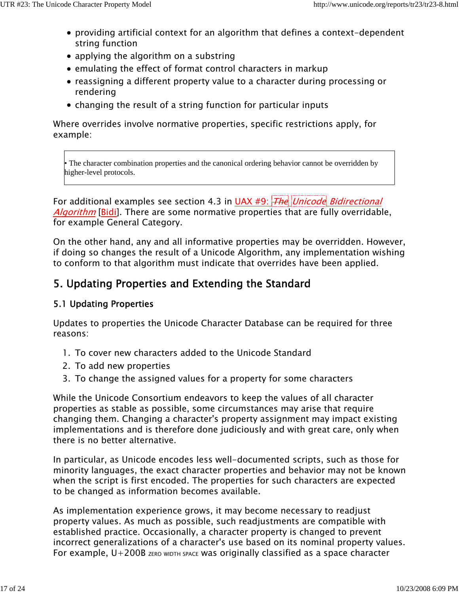- providing artificial context for an algorithm that defines a context-dependent string function
- applying the algorithm on a substring
- emulating the effect of format control characters in markup
- reassigning a different property value to a character during processing or rendering
- changing the result of a string function for particular inputs

Where overrides involve normative properties, specific restrictions apply, for example:

• The character combination properties and the canonical ordering behavior cannot be overridden by higher-level protocols.

For additional examples see section 4.3 in UAX  $#9$ :  $\frac{1}{\pi}$  Unicode Bidirectional Algorithm [Bidi]. There are some normative properties that are fully overridable, for example General Category.

On the other hand, any and all informative properties may be overridden. However, if doing so changes the result of a Unicode Algorithm, any implementation wishing to conform to that algorithm must indicate that overrides have been applied.

# 5. Updating Properties and Extending the Standard

## 5.1 Updating Properties

Updates to properties the Unicode Character Database can be required for three reasons:

- 1. To cover new characters added to the Unicode Standard
- 2. To add new properties
- 3. To change the assigned values for a property for some characters

While the Unicode Consortium endeavors to keep the values of all character properties as stable as possible, some circumstances may arise that require changing them. Changing a character's property assignment may impact existing implementations and is therefore done judiciously and with great care, only when there is no better alternative.

In particular, as Unicode encodes less well-documented scripts, such as those for minority languages, the exact character properties and behavior may not be known when the script is first encoded. The properties for such characters are expected to be changed as information becomes available.

As implementation experience grows, it may become necessary to readjust property values. As much as possible, such readjustments are compatible with established practice. Occasionally, a character property is changed to prevent incorrect generalizations of a character's use based on its nominal property values. For example,  $U+200B$  ZERO WIDTH SPACE Was originally classified as a space character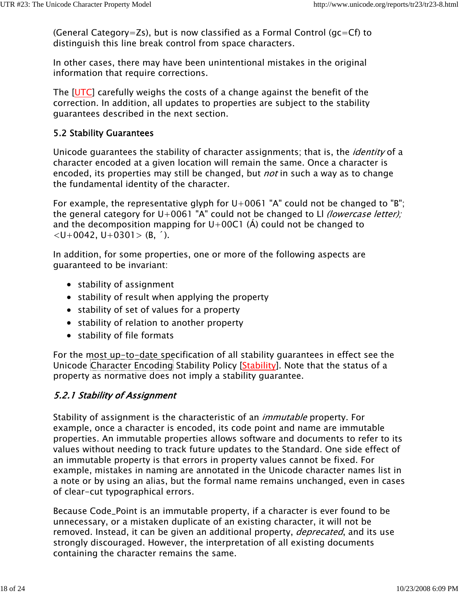(General Category=Zs), but is now classified as a Formal Control (gc=Cf) to distinguish this line break control from space characters.

In other cases, there may have been unintentional mistakes in the original information that require corrections.

The [UTC] carefully weighs the costs of a change against the benefit of the correction. In addition, all updates to properties are subject to the stability guarantees described in the next section.

## 5.2 Stability Guarantees

Unicode guarantees the stability of character assignments; that is, the *identity* of a character encoded at a given location will remain the same. Once a character is encoded, its properties may still be changed, but *not* in such a way as to change the fundamental identity of the character.

For example, the representative glyph for  $U+0061$  "A" could not be changed to "B"; the general category for  $U+0061$  "A" could not be changed to LI *(lowercase letter);* and the decomposition mapping for  $U+00C1$  (A) could not be changed to  $\langle$ U+0042, U+0301> (B, ').

In addition, for some properties, one or more of the following aspects are guaranteed to be invariant:

- $\bullet$  stability of assignment
- $\bullet$  stability of result when applying the property
- stability of set of values for a property
- stability of relation to another property
- stability of file formats

For the most up-to-date specification of all stability guarantees in effect see the Unicode Character Encoding Stability Policy [Stability]. Note that the status of a property as normative does not imply a stability guarantee.

## 5.2.1 Stability of Assignment

Stability of assignment is the characteristic of an *immutable* property. For example, once a character is encoded, its code point and name are immutable properties. An immutable properties allows software and documents to refer to its values without needing to track future updates to the Standard. One side effect of an immutable property is that errors in property values cannot be fixed. For example, mistakes in naming are annotated in the Unicode character names list in a note or by using an alias, but the formal name remains unchanged, even in cases of clear-cut typographical errors.

Because Code\_Point is an immutable property, if a character is ever found to be unnecessary, or a mistaken duplicate of an existing character, it will not be removed. Instead, it can be given an additional property, *deprecated*, and its use strongly discouraged. However, the interpretation of all existing documents containing the character remains the same.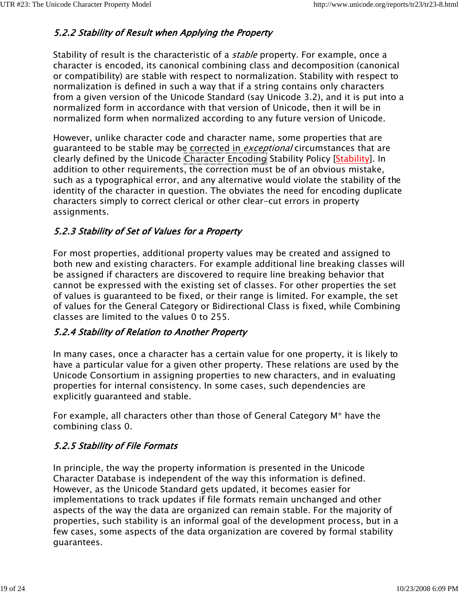## 5.2.2 Stability of Result when Applying the Property

Stability of result is the characteristic of a *stable* property. For example, once a character is encoded, its canonical combining class and decomposition (canonical or compatibility) are stable with respect to normalization. Stability with respect to normalization is defined in such a way that if a string contains only characters from a given version of the Unicode Standard (say Unicode 3.2), and it is put into a normalized form in accordance with that version of Unicode, then it will be in normalized form when normalized according to any future version of Unicode.

However, unlike character code and character name, some properties that are guaranteed to be stable may be corrected in *exceptional* circumstances that are clearly defined by the Unicode Character Encoding Stability Policy [Stability]. In addition to other requirements, the correction must be of an obvious mistake, such as a typographical error, and any alternative would violate the stability of the identity of the character in question. The obviates the need for encoding duplicate characters simply to correct clerical or other clear-cut errors in property assignments.

## 5.2.3 Stability of Set of Values for a Property

For most properties, additional property values may be created and assigned to both new and existing characters. For example additional line breaking classes will be assigned if characters are discovered to require line breaking behavior that cannot be expressed with the existing set of classes. For other properties the set of values is guaranteed to be fixed, or their range is limited. For example, the set of values for the General Category or Bidirectional Class is fixed, while Combining classes are limited to the values 0 to 255.

## 5.2.4 Stability of Relation to Another Property

In many cases, once a character has a certain value for one property, it is likely to have a particular value for a given other property. These relations are used by the Unicode Consortium in assigning properties to new characters, and in evaluating properties for internal consistency. In some cases, such dependencies are explicitly guaranteed and stable.

For example, all characters other than those of General Category M\* have the combining class 0.

## 5.2.5 Stability of File Formats

In principle, the way the property information is presented in the Unicode Character Database is independent of the way this information is defined. However, as the Unicode Standard gets updated, it becomes easier for implementations to track updates if file formats remain unchanged and other aspects of the way the data are organized can remain stable. For the majority of properties, such stability is an informal goal of the development process, but in a few cases, some aspects of the data organization are covered by formal stability guarantees.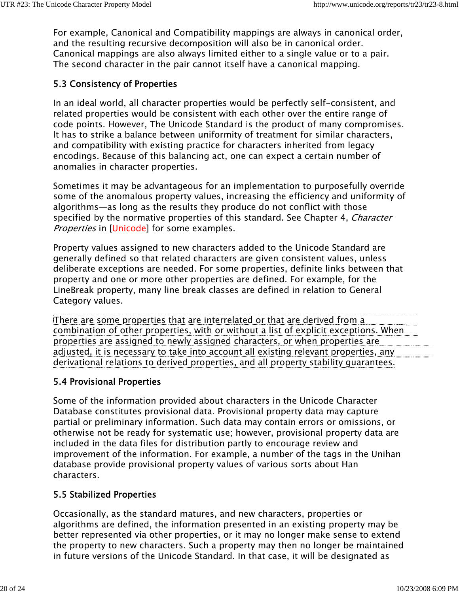For example, Canonical and Compatibility mappings are always in canonical order, and the resulting recursive decomposition will also be in canonical order. Canonical mappings are also always limited either to a single value or to a pair. The second character in the pair cannot itself have a canonical mapping.

## 5.3 Consistency of Properties

In an ideal world, all character properties would be perfectly self-consistent, and related properties would be consistent with each other over the entire range of code points. However, The Unicode Standard is the product of many compromises. It has to strike a balance between uniformity of treatment for similar characters, and compatibility with existing practice for characters inherited from legacy encodings. Because of this balancing act, one can expect a certain number of anomalies in character properties.

Sometimes it may be advantageous for an implementation to purposefully override some of the anomalous property values, increasing the efficiency and uniformity of algorithms—as long as the results they produce do not conflict with those specified by the normative properties of this standard. See Chapter 4, *Character* Properties in [Unicode] for some examples.

Property values assigned to new characters added to the Unicode Standard are generally defined so that related characters are given consistent values, unless deliberate exceptions are needed. For some properties, definite links between that property and one or more other properties are defined. For example, for the LineBreak property, many line break classes are defined in relation to General Category values.

There are some properties that are interrelated or that are derived from a combination of other properties, with or without a list of explicit exceptions. When properties are assigned to newly assigned characters, or when properties are adjusted, it is necessary to take into account all existing relevant properties, any derivational relations to derived properties, and all property stability guarantees.

## 5.4 Provisional Properties

Some of the information provided about characters in the Unicode Character Database constitutes provisional data. Provisional property data may capture partial or preliminary information. Such data may contain errors or omissions, or otherwise not be ready for systematic use; however, provisional property data are included in the data files for distribution partly to encourage review and improvement of the information. For example, a number of the tags in the Unihan database provide provisional property values of various sorts about Han characters.

## 5.5 Stabilized Properties

Occasionally, as the standard matures, and new characters, properties or algorithms are defined, the information presented in an existing property may be better represented via other properties, or it may no longer make sense to extend the property to new characters. Such a property may then no longer be maintained in future versions of the Unicode Standard. In that case, it will be designated as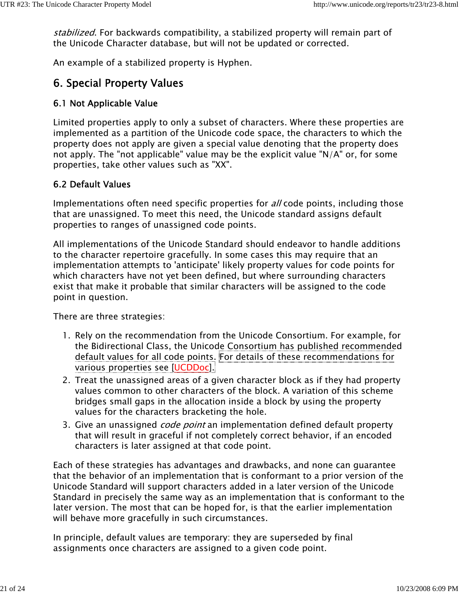stabilized. For backwards compatibility, a stabilized property will remain part of the Unicode Character database, but will not be updated or corrected.

An example of a stabilized property is Hyphen.

## 6. Special Property Values

#### 6.1 Not Applicable Value

Limited properties apply to only a subset of characters. Where these properties are implemented as a partition of the Unicode code space, the characters to which the property does not apply are given a special value denoting that the property does not apply. The "not applicable" value may be the explicit value "N/A" or, for some properties, take other values such as "XX".

#### 6.2 Default Values

Implementations often need specific properties for *all* code points, including those that are unassigned. To meet this need, the Unicode standard assigns default properties to ranges of unassigned code points.

All implementations of the Unicode Standard should endeavor to handle additions to the character repertoire gracefully. In some cases this may require that an implementation attempts to 'anticipate' likely property values for code points for which characters have not yet been defined, but where surrounding characters exist that make it probable that similar characters will be assigned to the code point in question.

There are three strategies:

- 1. Rely on the recommendation from the Unicode Consortium. For example, for the Bidirectional Class, the Unicode Consortium has published recommended default values for all code points. For details of these recommendations for various properties see [UCDDoc].
- 2. Treat the unassigned areas of a given character block as if they had property values common to other characters of the block. A variation of this scheme bridges small gaps in the allocation inside a block by using the property values for the characters bracketing the hole.
- 3. Give an unassigned *code point* an implementation defined default property that will result in graceful if not completely correct behavior, if an encoded characters is later assigned at that code point.

Each of these strategies has advantages and drawbacks, and none can guarantee that the behavior of an implementation that is conformant to a prior version of the Unicode Standard will support characters added in a later version of the Unicode Standard in precisely the same way as an implementation that is conformant to the later version. The most that can be hoped for, is that the earlier implementation will behave more gracefully in such circumstances.

In principle, default values are temporary: they are superseded by final assignments once characters are assigned to a given code point.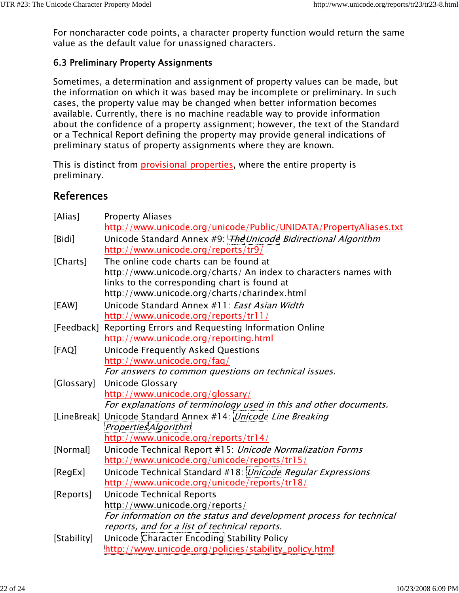For noncharacter code points, a character property function would return the same value as the default value for unassigned characters.

## 6.3 Preliminary Property Assignments

Sometimes, a determination and assignment of property values can be made, but the information on which it was based may be incomplete or preliminary. In such cases, the property value may be changed when better information becomes available. Currently, there is no machine readable way to provide information about the confidence of a property assignment; however, the text of the Standard or a Technical Report defining the property may provide general indications of preliminary status of property assignments where they are known.

This is distinct from provisional properties, where the entire property is preliminary.

## References

| [Alias]     | <b>Property Aliases</b>                                             |
|-------------|---------------------------------------------------------------------|
|             | http://www.unicode.org/unicode/Public/UNIDATA/PropertyAliases.txt   |
| [Bidi]      | Unicode Standard Annex #9: The Unicode Bidirectional Algorithm      |
|             | http://www.unicode.org/reports/tr9/                                 |
| [Charts]    | The online code charts can be found at                              |
|             | http://www.unicode.org/charts/ An index to characters names with    |
|             | links to the corresponding chart is found at                        |
|             | http://www.unicode.org/charts/charindex.html                        |
| [EAW]       | Unicode Standard Annex #11: East Asian Width                        |
|             | http://www.unicode.org/reports/tr11/                                |
| [Feedback]  | Reporting Errors and Requesting Information Online                  |
|             | http://www.unicode.org/reporting.html                               |
| [FAQ]       | <b>Unicode Frequently Asked Questions</b>                           |
|             | http://www.unicode.org/faq/                                         |
|             | For answers to common questions on technical issues.                |
| [Glossary]  | <b>Unicode Glossary</b>                                             |
|             | http://www.unicode.org/glossary/                                    |
|             | For explanations of terminology used in this and other documents.   |
|             | [LineBreak] Unicode Standard Annex #14: Unicode Line Breaking       |
|             | <b>Properties Algorithm</b>                                         |
|             | http://www.unicode.org/reports/tr14/                                |
| [Normal]    | Unicode Technical Report #15: Unicode Normalization Forms           |
|             | http://www.unicode.org/unicode/reports/tr15/                        |
| [RegEx]     | Unicode Technical Standard #18: Unicode Regular Expressions         |
|             | http://www.unicode.org/unicode/reports/tr18/                        |
| [Reports]   | <b>Unicode Technical Reports</b>                                    |
|             | http://www.unicode.org/reports/                                     |
|             | For information on the status and development process for technical |
|             | reports, and for a list of technical reports.                       |
| [Stability] | Unicode Character Encoding Stability Policy                         |
|             | http://www.unicode.org/policies/stability_policy.html               |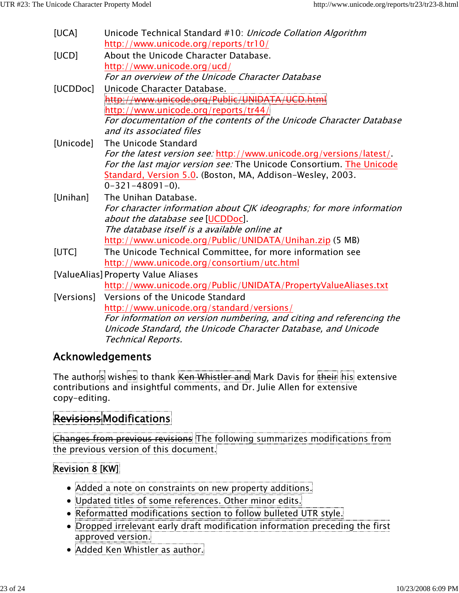| [UCA]                               | Unicode Technical Standard #10: <i>Unicode Collation Algorithm</i>   |
|-------------------------------------|----------------------------------------------------------------------|
|                                     | http://www.unicode.org/reports/tr10/                                 |
| [UCD]                               | About the Unicode Character Database.                                |
|                                     | http://www.unicode.org/ucd/                                          |
|                                     | For an overview of the Unicode Character Database                    |
| [UCDDoc]                            | Unicode Character Database.                                          |
|                                     | <mark>/ww.unicode.org/Public/UNIDAT/</mark>                          |
|                                     | $\frac{1}{2}$ http://www.unicode.org/reports/tr44/                   |
|                                     | For documentation of the contents of the Unicode Character Database  |
|                                     | and its associated files                                             |
| [Unicode]                           | The Unicode Standard                                                 |
|                                     | For the latest version see: http://www.unicode.org/versions/latest/. |
|                                     | For the last major version see: The Unicode Consortium. The Unicode  |
|                                     | Standard, Version 5.0. (Boston, MA, Addison-Wesley, 2003.            |
|                                     | $0 - 321 - 48091 - 0$ .                                              |
| [Unihan]                            | The Unihan Database.                                                 |
|                                     | For character information about CJK ideographs; for more information |
|                                     | about the database see [UCDDoc].                                     |
|                                     | The database itself is a available online at                         |
|                                     | http://www.unicode.org/Public/UNIDATA/Unihan.zip (5 MB)              |
| [UTC]                               | The Unicode Technical Committee, for more information see            |
|                                     | http://www.unicode.org/consortium/utc.html                           |
| [ValueAlias] Property Value Aliases |                                                                      |
|                                     | http://www.unicode.org/Public/UNIDATA/PropertyValueAliases.txt       |
| [Versions]                          | Versions of the Unicode Standard                                     |
|                                     | http://www.unicode.org/standard/versions/                            |
|                                     | For information on version numbering, and citing and referencing the |
|                                     | Unicode Standard, the Unicode Character Database, and Unicode        |
|                                     | <b>Technical Reports.</b>                                            |

## Acknowledgements

The authors wishes to thank Ken Whistler and Mark Davis for their his extensive contributions and insightful comments, and Dr. Julie Allen for extensive copy-editing.

# Revisions Modifications

Changes from previous revisions The following summarizes modifications from the previous version of this document.

## Revision 8 [KW]

- Added a note on constraints on new property additions.
- Updated titles of some references. Other minor edits.
- Reformatted modifications section to follow bulleted UTR style.
- Dropped irrelevant early draft modification information preceding the first approved version.
- Added Ken Whistler as author.